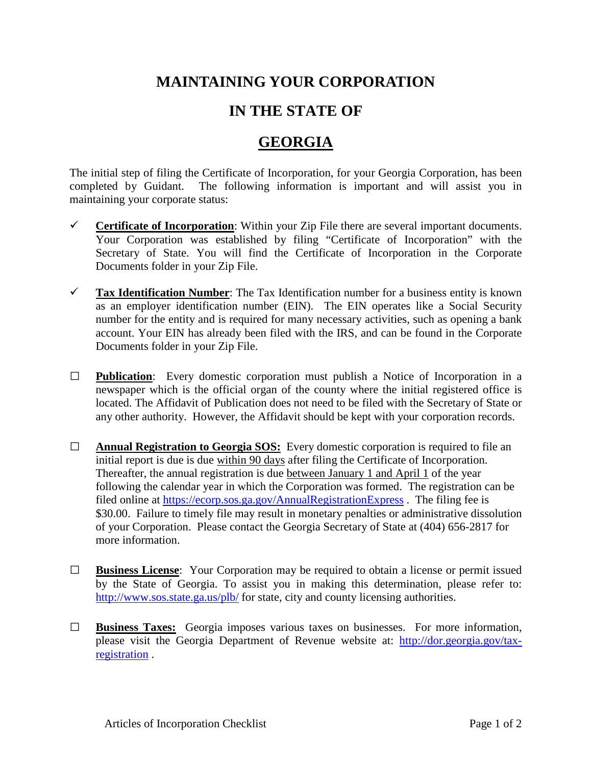## **MAINTAINING YOUR CORPORATION**

## **IN THE STATE OF**

## **GEORGIA**

The initial step of filing the Certificate of Incorporation, for your Georgia Corporation, has been completed by Guidant. The following information is important and will assist you in maintaining your corporate status:

- **Certificate of Incorporation:** Within your Zip File there are several important documents. Your Corporation was established by filing "Certificate of Incorporation" with the Secretary of State. You will find the Certificate of Incorporation in the Corporate Documents folder in your Zip File.
- **Tax Identification Number**: The Tax Identification number for a business entity is known as an employer identification number (EIN). The EIN operates like a Social Security number for the entity and is required for many necessary activities, such as opening a bank account. Your EIN has already been filed with the IRS, and can be found in the Corporate Documents folder in your Zip File.
- **□ Publication**: Every domestic corporation must publish a Notice of Incorporation in a newspaper which is the official organ of the county where the initial registered office is located. The Affidavit of Publication does not need to be filed with the Secretary of State or any other authority. However, the Affidavit should be kept with your corporation records.
- **□ Annual Registration to Georgia SOS:** Every domestic corporation is required to file an initial report is due is due within 90 days after filing the Certificate of Incorporation. Thereafter, the annual registration is due between January 1 and April 1 of the year following the calendar year in which the Corporation was formed. The registration can be filed online at <https://ecorp.sos.ga.gov/AnnualRegistrationExpress> . The filing fee is \$30.00. Failure to timely file may result in monetary penalties or administrative dissolution of your Corporation. Please contact the Georgia Secretary of State at (404) 656-2817 for more information.
- **□ Business License**: Your Corporation may be required to obtain a license or permit issued by the State of Georgia. To assist you in making this determination, please refer to: <http://www.sos.state.ga.us/plb/> for state, city and county licensing authorities.
- **□ Business Taxes:** Georgia imposes various taxes on businesses. For more information, please visit the Georgia Department of Revenue website at: [http://dor.georgia.gov/tax](http://dor.georgia.gov/tax-registration)[registration](http://dor.georgia.gov/tax-registration) .